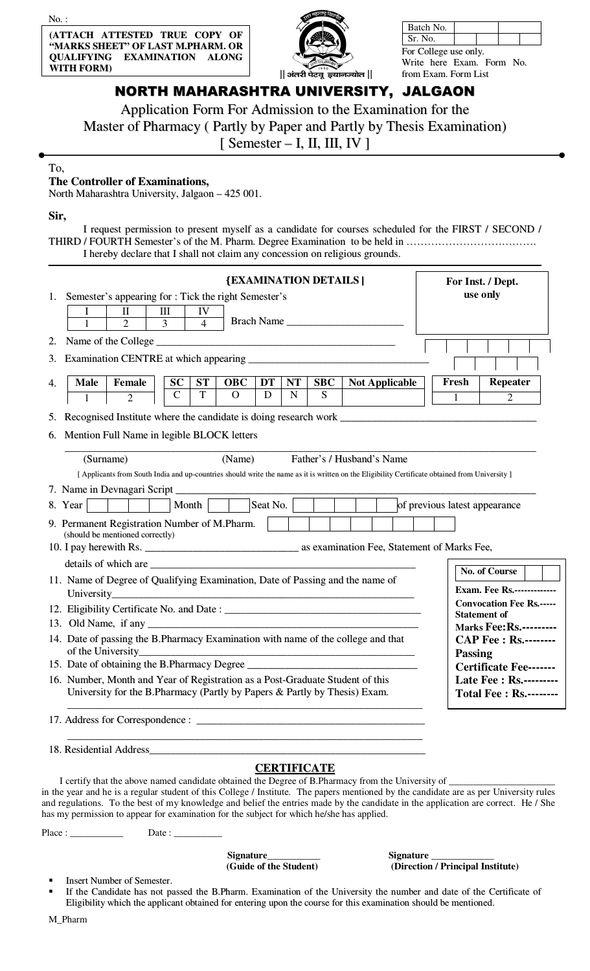(ATTACH ATTESTED TRUE COPY OF 'MARKS SHEET" OF LAST M.PHARM. OR **QUALIFYING EXAMINATION ALONG WITH FORM)** 



| Batch No. |  |  |
|-----------|--|--|
| Sr. No.   |  |  |

For College use only. Write here Exam. Form No. from Exam. Form List

## NORTH MAHARASHTRA UNIVERSITY, JALGAON

Application Form For Admission to the Examination for the

Master of Pharmacy (Partly by Paper and Partly by Thesis Examination)

 $[$  Semester - I, II, III, IV ]

To,

## The Controller of Examinations,

North Maharashtra University, Jalgaon - 425 001.

## Sir,

I request permission to present myself as a candidate for courses scheduled for the FIRST / SECOND / THIRD / FOURTH Semester's of the M. Pharm. Degree Examination to be held in .................................. I hereby declare that I shall not claim any concession on religious grounds.

| 1. | Semester's appearing for : Tick the right Semester's                                                                                                                                                                           |                |  |                |                                                        |                                                                                                                      |                                     |           | <b>{EXAMINATION DETAILS  </b> |                       |  |                                                                                                                                                 | For Inst. / Dept.<br>use only                                                                                                                                                                                                                                                |  |
|----|--------------------------------------------------------------------------------------------------------------------------------------------------------------------------------------------------------------------------------|----------------|--|----------------|--------------------------------------------------------|----------------------------------------------------------------------------------------------------------------------|-------------------------------------|-----------|-------------------------------|-----------------------|--|-------------------------------------------------------------------------------------------------------------------------------------------------|------------------------------------------------------------------------------------------------------------------------------------------------------------------------------------------------------------------------------------------------------------------------------|--|
|    | I                                                                                                                                                                                                                              | $\mathbf{I}$   |  | III            | IV                                                     |                                                                                                                      |                                     |           |                               |                       |  |                                                                                                                                                 |                                                                                                                                                                                                                                                                              |  |
|    | $\mathbf{1}$                                                                                                                                                                                                                   | 2              |  | $\overline{3}$ | $\overline{\mathcal{A}}$                               |                                                                                                                      |                                     |           | Brach Name                    |                       |  |                                                                                                                                                 |                                                                                                                                                                                                                                                                              |  |
| 2. |                                                                                                                                                                                                                                |                |  |                |                                                        |                                                                                                                      |                                     |           |                               |                       |  |                                                                                                                                                 |                                                                                                                                                                                                                                                                              |  |
| 3. |                                                                                                                                                                                                                                |                |  |                |                                                        |                                                                                                                      |                                     |           |                               |                       |  |                                                                                                                                                 |                                                                                                                                                                                                                                                                              |  |
| 4. | <b>Male</b>                                                                                                                                                                                                                    | Female         |  | <b>SC</b>      | <b>ST</b>                                              | <b>OBC</b>                                                                                                           | DT                                  | NT        | <b>SBC</b>                    | <b>Not Applicable</b> |  | Fresh                                                                                                                                           | <b>Repeater</b>                                                                                                                                                                                                                                                              |  |
|    | 1                                                                                                                                                                                                                              | $\overline{2}$ |  | $\mathsf{C}$   | T                                                      | $\overline{O}$                                                                                                       | D                                   | ${\bf N}$ | <sub>S</sub>                  |                       |  | $\mathbf{1}$                                                                                                                                    | $\overline{2}$                                                                                                                                                                                                                                                               |  |
| 5. |                                                                                                                                                                                                                                |                |  |                |                                                        |                                                                                                                      |                                     |           |                               |                       |  |                                                                                                                                                 | Recognised Institute where the candidate is doing research work                                                                                                                                                                                                              |  |
| 6. | Mention Full Name in legible BLOCK letters                                                                                                                                                                                     |                |  |                |                                                        |                                                                                                                      |                                     |           |                               |                       |  |                                                                                                                                                 |                                                                                                                                                                                                                                                                              |  |
|    | (Surname)                                                                                                                                                                                                                      |                |  |                |                                                        | (Name)                                                                                                               |                                     |           | Father's / Husband's Name     |                       |  |                                                                                                                                                 |                                                                                                                                                                                                                                                                              |  |
|    |                                                                                                                                                                                                                                |                |  |                |                                                        |                                                                                                                      |                                     |           |                               |                       |  | [ Applicants from South India and up-countries should write the name as it is written on the Eligibility Certificate obtained from University ] |                                                                                                                                                                                                                                                                              |  |
|    |                                                                                                                                                                                                                                |                |  |                |                                                        |                                                                                                                      |                                     |           |                               |                       |  |                                                                                                                                                 |                                                                                                                                                                                                                                                                              |  |
|    | 8. Year                                                                                                                                                                                                                        |                |  |                | Month                                                  |                                                                                                                      | Seat No.                            |           |                               |                       |  | of previous latest appearance                                                                                                                   |                                                                                                                                                                                                                                                                              |  |
|    | 9. Permanent Registration Number of M.Pharm.<br>(should be mentioned correctly)                                                                                                                                                |                |  |                |                                                        |                                                                                                                      |                                     |           |                               |                       |  |                                                                                                                                                 |                                                                                                                                                                                                                                                                              |  |
|    |                                                                                                                                                                                                                                |                |  |                |                                                        |                                                                                                                      |                                     |           |                               |                       |  |                                                                                                                                                 |                                                                                                                                                                                                                                                                              |  |
|    |                                                                                                                                                                                                                                |                |  |                |                                                        |                                                                                                                      |                                     |           |                               |                       |  |                                                                                                                                                 | No. of Course                                                                                                                                                                                                                                                                |  |
|    | 11. Name of Degree of Qualifying Examination, Date of Passing and the name of                                                                                                                                                  |                |  |                |                                                        |                                                                                                                      |                                     |           |                               |                       |  |                                                                                                                                                 | <b>Exam. Fee Rs.-------------</b>                                                                                                                                                                                                                                            |  |
|    | <b>Convocation Fee Rs.-----</b><br><b>Statement of</b>                                                                                                                                                                         |                |  |                |                                                        |                                                                                                                      |                                     |           |                               |                       |  |                                                                                                                                                 |                                                                                                                                                                                                                                                                              |  |
|    | <b>Marks Fee: Rs.---------</b>                                                                                                                                                                                                 |                |  |                |                                                        |                                                                                                                      |                                     |           |                               |                       |  |                                                                                                                                                 |                                                                                                                                                                                                                                                                              |  |
|    | 14. Date of passing the B.Pharmacy Examination with name of the college and that<br><b>CAP Fee : Rs.--------</b><br>of the University<br><b>Passing</b>                                                                        |                |  |                |                                                        |                                                                                                                      |                                     |           |                               |                       |  |                                                                                                                                                 |                                                                                                                                                                                                                                                                              |  |
|    | 15. Date of obtaining the B.Pharmacy Degree<br><b>Certificate Fee-------</b>                                                                                                                                                   |                |  |                |                                                        |                                                                                                                      |                                     |           |                               |                       |  |                                                                                                                                                 |                                                                                                                                                                                                                                                                              |  |
|    | 16. Number, Month and Year of Registration as a Post-Graduate Student of this<br>University for the B.Pharmacy (Partly by Papers & Partly by Thesis) Exam.                                                                     |                |  |                |                                                        |                                                                                                                      |                                     |           |                               |                       |  |                                                                                                                                                 | <b>Late Fee: Rs.---------</b><br><b>Total Fee: Rs.--------</b>                                                                                                                                                                                                               |  |
|    |                                                                                                                                                                                                                                |                |  |                |                                                        |                                                                                                                      |                                     |           |                               |                       |  |                                                                                                                                                 |                                                                                                                                                                                                                                                                              |  |
|    | 18. Residential Address and the contract of the contract of the contract of the contract of the contract of the contract of the contract of the contract of the contract of the contract of the contract of the contract of th |                |  |                |                                                        | <u> 1989 - Johann John Harry Harry Harry Harry Harry Harry Harry Harry Harry Harry Harry Harry Harry Harry Harry</u> |                                     |           |                               |                       |  |                                                                                                                                                 |                                                                                                                                                                                                                                                                              |  |
|    | I certify that the above named candidate obtained the Degree of B.Pharmacy from the University of ________<br>has my permission to appear for examination for the subject for which he/she has applied.                        |                |  |                |                                                        |                                                                                                                      |                                     |           | <b>CERTIFICATE</b>            |                       |  |                                                                                                                                                 | in the year and he is a regular student of this College / Institute. The papers mentioned by the candidate are as per University rules<br>and regulations. To the best of my knowledge and belief the entries made by the candidate in the application are correct. He / She |  |
|    |                                                                                                                                                                                                                                |                |  |                | Date: $\frac{1}{\sqrt{1-\frac{1}{2}}\cdot\frac{1}{2}}$ |                                                                                                                      |                                     |           |                               |                       |  |                                                                                                                                                 |                                                                                                                                                                                                                                                                              |  |
|    |                                                                                                                                                                                                                                |                |  |                |                                                        |                                                                                                                      | Signature<br>(Cuide of the Student) |           |                               |                       |  | Signature<br>(Dinostion / Drinoinal Institute)                                                                                                  |                                                                                                                                                                                                                                                                              |  |

**Insert Number of Semester.** 

(Guide of the Student)

(Direction / Principal Institute)

If the Candidate has not passed the B.Pharm. Examination of the University the number and date of the Certificate of Eligibility which the applicant obtained for entering upon the course for this examination should be mentioned.